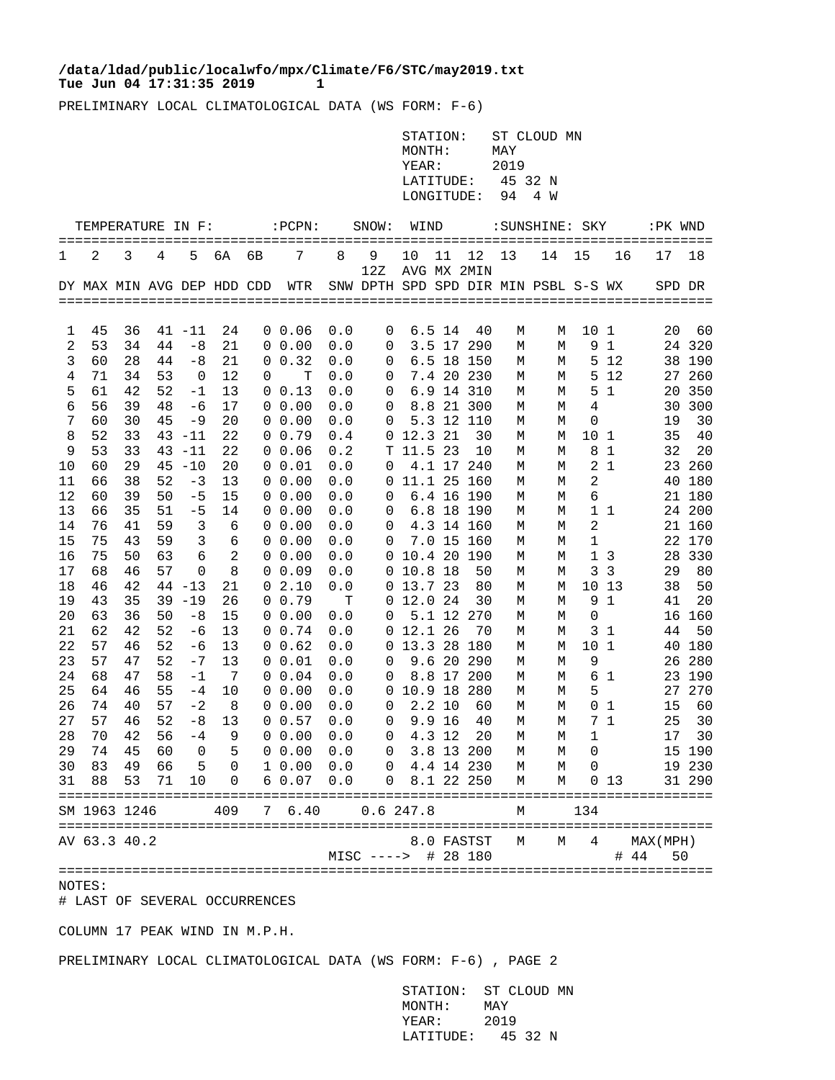## Tue Jun 04 17:31:35 2019 1 **/data/ldad/public/localwfo/mpx/Climate/F6/STC/may2019.txt**

PRELIMINARY LOCAL CLIMATOLOGICAL DATA (WS FORM: F-6)

| STATION:          | ST CLOUD MN |
|-------------------|-------------|
| MONTH:            | MAY         |
| YEAR:             | 2019        |
| LATITUDE:         | 45 32 N     |
| LONGITUDE: 94 4 W |             |

|          | TEMPERATURE IN F:          |          |          |              |                | ======== | $:$ $PCPN:$                |            | SNOW:                                | WIND                   |        | ======            |        | :SUNSHINE: SKY |                |                | :PK WND   |              |
|----------|----------------------------|----------|----------|--------------|----------------|----------|----------------------------|------------|--------------------------------------|------------------------|--------|-------------------|--------|----------------|----------------|----------------|-----------|--------------|
| 1        | 2                          | 3        | 4        | 5            | 6A             | 6В       | 7                          | 8          | 9<br>12Z                             | 10                     | 11     | 12<br>AVG MX 2MIN | 13     | 14             | 15             | 16             | 17        | 18           |
|          | DY MAX MIN AVG DEP HDD CDD |          |          |              |                |          | WTR                        |            | SNW DPTH SPD SPD DIR MIN PSBL S-S WX |                        |        |                   |        |                |                |                | SPD DR    |              |
|          |                            |          |          |              |                |          |                            |            |                                      |                        |        |                   |        |                |                |                |           |              |
| 1        | 45                         | 36       |          | $41 - 11$    | 24             |          | $0\;\;0.06$                | 0.0        | 0                                    |                        | 6.5 14 | 40                | М      | М              | 10             | 1              | 20        | 60           |
| 2        | 53                         | 34       | 44       | $-8$         | 21             |          | $0\;\;0.00$                | 0.0        | 0                                    |                        |        | 3.5 17 290        | М      | М              | 9              | $\mathbf 1$    |           | 24 320       |
| 3        | 60                         | 28       | 44       | $-8$         | 21             | $\Omega$ | 0.32                       | 0.0        | 0                                    |                        |        | 6.5 18 150        | М      | М              | 5              | 12             | 38        | 190          |
| 4        | 71                         | 34       | 53       | 0            | 12             | 0        | т                          | 0.0        | 0                                    |                        |        | 7.4 20 230        | М      | М              | 5              | 12             | 27        | 260          |
| 5        | 61                         | 42       | 52       | $-1$         | 13             |          | $0 \t 0.13$                | 0.0        | 0                                    |                        |        | 6.9 14 310        | М      | М              | 5              | <sup>1</sup>   | 20        | 350          |
| 6        | 56                         | 39       | 48       | -6           | 17             |          | $0\;\;0.00$                | 0.0        | 0                                    |                        |        | 8.8 21 300        | М      | М              | 4              |                | 30        | 300          |
| 7        | 60                         | 30       | 45       | -9           | 20             |          | $0\;\;0.00$                | 0.0        | 0                                    |                        |        | 5.3 12 110        | М      | М              | 0              |                | 19        | 30           |
| 8        | 52                         | 33       |          | $43 - 11$    | 22             |          | 0 0.79                     | 0.4        | 0                                    | 12.3 21                |        | 30                | М      | М              | 10             | $\mathbf{1}$   | 35        | 40           |
| 9        | 53                         | 33       | 43       | $-11$        | 22             |          | $0\;\;0.06$                | 0.2        | т                                    | 11.5 23                |        | 10                | М      | М              | 8              | 1              | 32        | 20           |
| 10       | 60                         | 29       |          | $45 - 10$    | 20             |          | 0 0.01                     | 0.0        | 0                                    |                        |        | 4.1 17 240        | М      | М              | $\overline{c}$ | 1              |           | 23 260       |
| 11       | 66                         | 38       | 52       | -3           | 13             |          | $0\;\;0.00$                | 0.0        | 0                                    | 11.1 25 160            |        |                   | М      | М              | 2              |                | 40        | 180          |
| 12       | 60                         | 39       | 50       | $-5$         | 15             |          | 0, 0.00                    | 0.0        | 0                                    |                        |        | 6.4 16 190        | М      | М              | 6              |                |           | 21 180       |
| 13       | 66                         | 35       | 51       | $-5$         | 14             |          | $0\;\;0.00$                | 0.0        | 0                                    |                        |        | 6.8 18 190        | М      | М              |                | $1\quad1$      |           | 24 200       |
| 14       | 76                         | 41       | 59       | 3            | 6              |          | $0\;\;0.00$                | 0.0        | 0                                    |                        |        | 4.3 14 160        | М      | М              | $\overline{2}$ |                |           | 21 160       |
| 15       | 75                         | 43       | 59       | 3            | 6              |          | $0\;\;0.00$                | 0.0        | 0                                    |                        |        | 7.0 15 160        | М      | М              | 1              |                |           | 22 170       |
| 16       | 75                         | 50       | 63       | 6            | $\overline{a}$ |          | $0\;\;0.00$                | 0.0        | 0                                    | 10.4 20 190            |        |                   | М      | М              |                | 1 <sub>3</sub> | 28        | 330          |
| 17       | 68                         | 46       | 57       | 0            | 8              |          | $0\;\;0.09$                | 0.0        | 0                                    | 10.8 18                |        | 50                | М      | М              | 3              | 3              | 29        | 80           |
| 18       | 46                         | 42       |          | $44 - 13$    | 21             | 0        | 2.10                       | 0.0        | 0                                    | 13.7 23                |        | 80                | М      | М              | 10             | 13             | 38        | 50           |
| 19       | 43                         | 35       |          | $39 - 19$    | 26             |          | 0, 0.79                    | T          | 0                                    | 12.0 24                |        | 30                | М      | М              | 9              | 1              | 41        | 20           |
| 20       | 63                         | 36       | 50       | $-8$         | 15             |          | $0\;\;0.00$                | 0.0        | 0                                    |                        |        | 5.1 12 270        | М      | М              | 0              |                |           | 16 160       |
| 21       | 62                         | 42       | 52<br>52 | $-6$         | 13             |          | 0 0.74                     | 0.0        | 0                                    | 12.1 26<br>13.3 28 180 |        | 70                | М      | М              |                | 31             | 44        | 50<br>40 180 |
| 22       | 57                         | 46<br>47 | 52       | -6           | 13<br>13       |          | $0\;\;0.62$<br>$0\;\;0.01$ | 0.0        | 0                                    |                        |        | 9.6 20 290        | М      | М              | 10             | 1              | 26        | 280          |
| 23<br>24 | 57<br>68                   | 47       | 58       | $-7$<br>$-1$ | - 7            |          | $0 \t 0.04$                | 0.0        | 0                                    |                        |        | 8.8 17 200        | М      | М              | 9<br>6         | <sup>1</sup>   | 23        | 190          |
| 25       | 64                         | 46       | 55       | $-4$         | 10             |          | $0\;\;0.00$                | 0.0<br>0.0 | 0<br>0                               | 10.9 18 280            |        |                   | М<br>М | М<br>М         | 5              |                | 27        | 270          |
| 26       | 74                         | 40       | 57       | $-2$         | - 8            |          | $0\;\;0.00$                | 0.0        | 0                                    |                        | 2.210  | 60                | М      | М              | 0              | 1              | 15        | 60           |
| 27       | 57                         | 46       | 52       | $-8$         | 13             |          | 0 0.57                     | 0.0        | 0                                    |                        | 9.9 16 | 40                | М      | М              | $7^{\circ}$    | $\mathbf{1}$   | 25        | 30           |
| 28       | 70                         | 42       | 56       | $-4$         | 9              |          | $0\;\;0.00$                | 0.0        | 0                                    |                        | 4.3 12 | 20                | М      | М              | 1              |                | 17        | 30           |
| 29       | 74                         | 45       | 60       | 0            | 5              | 0        | 0.00                       | 0.0        | 0                                    |                        |        | 3.8 13 200        | М      | М              | 0              |                |           | 15 190       |
| 30       | 83                         | 49       | 66       | 5            | 0              |          | 10.00                      | 0.0        | 0                                    |                        |        | 4.4 14 230        | М      | М              | 0              |                | 19        | 230          |
| 31       | 88                         | 53       | 71       | 10           | 0              | 6        | 0.07                       | 0.0        | 0                                    |                        |        | 8.1 22 250        | М      | M              | 0              | 13             |           | 31 290       |
|          |                            |          |          |              |                |          |                            |            |                                      |                        |        |                   |        |                |                |                |           |              |
|          | SM 1963 1246               |          |          |              | 409            | 7        | 6.40                       |            | 0.6247.8                             |                        |        |                   | М      |                | 134            |                |           |              |
|          | AV 63.3 40.2               |          |          |              |                |          |                            |            |                                      |                        |        | 8.0 FASTST        | М      | М              | 4              |                | MAX (MPH) |              |
|          |                            |          |          |              |                |          |                            |            | $MISC$ ---->                         |                        |        | # 28 180          |        |                |                | #              | 44<br>50  |              |
|          |                            |          |          |              |                |          |                            |            |                                      |                        |        |                   |        |                |                |                |           |              |

NOTES:

# LAST OF SEVERAL OCCURRENCES

COLUMN 17 PEAK WIND IN M.P.H.

PRELIMINARY LOCAL CLIMATOLOGICAL DATA (WS FORM: F-6) , PAGE 2

 STATION: ST CLOUD MN MONTH: MAY YEAR: 2019 LATITUDE: 45 32 N